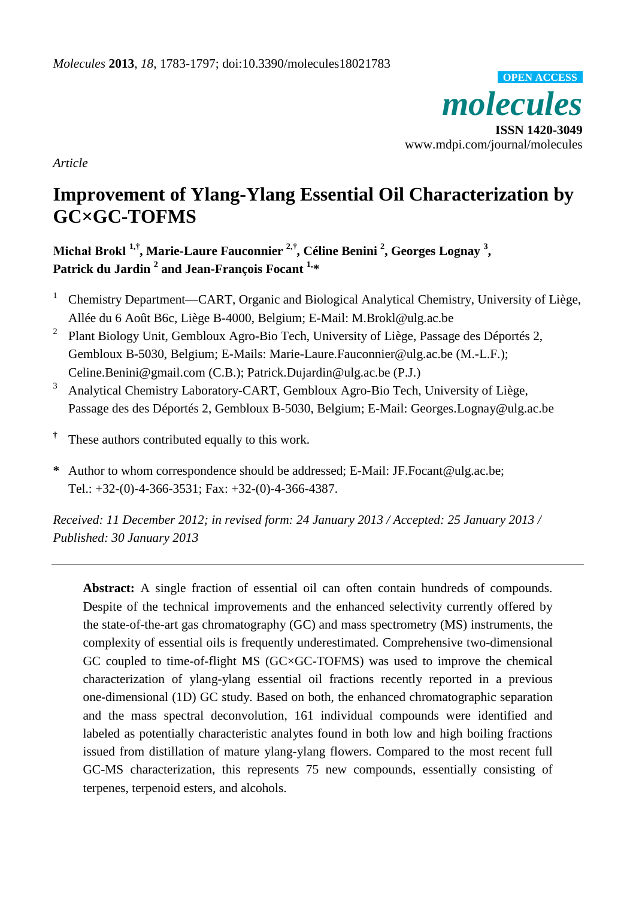*molecules* **ISSN 1420-3049** www.mdpi.com/journal/molecules **OPEN ACCESS**

*Article*

# **Improvement of Ylang-Ylang Essential Oil Characterization by GC×GC-TOFMS**

**Michał Brokl 1,† , Marie-Laure Fauconnier 2,† , Céline Benini 2 , Georges Lognay 3 , Patrick du Jardin 2 and Jean-François Focant 1, \***

- <sup>1</sup> Chemistry Department—CART, Organic and Biological Analytical Chemistry, University of Liège, Allée du 6 Août B6c, Liège B-4000, Belgium; E-Mail: M.Brokl@ulg.ac.be
- <sup>2</sup> Plant Biology Unit, Gembloux Agro-Bio Tech, University of Liège, Passage des Déportés 2, Gembloux B-5030, Belgium; E-Mails: Marie-Laure.Fauconnier@ulg.ac.be (M.-L.F.); Celine.Benini@gmail.com (C.B.); Patrick.Dujardin@ulg.ac.be (P.J.)
- <sup>3</sup> Analytical Chemistry Laboratory-CART, Gembloux Agro-Bio Tech, University of Liège, Passage des des Déportés 2, Gembloux B-5030, Belgium; E-Mail: Georges.Lognay@ulg.ac.be
- **†** These authors contributed equally to this work.
- **\*** Author to whom correspondence should be addressed; E-Mail: JF.Focant@ulg.ac.be; Tel.: +32-(0)-4-366-3531; Fax: +32-(0)-4-366-4387.

*Received: 11 December 2012; in revised form: 24 January 2013 / Accepted: 25 January 2013 / Published: 30 January 2013*

**Abstract:** A single fraction of essential oil can often contain hundreds of compounds. Despite of the technical improvements and the enhanced selectivity currently offered by the state-of-the-art gas chromatography (GC) and mass spectrometry (MS) instruments, the complexity of essential oils is frequently underestimated. Comprehensive two-dimensional GC coupled to time-of-flight MS (GC×GC-TOFMS) was used to improve the chemical characterization of ylang-ylang essential oil fractions recently reported in a previous one-dimensional (1D) GC study. Based on both, the enhanced chromatographic separation and the mass spectral deconvolution, 161 individual compounds were identified and labeled as potentially characteristic analytes found in both low and high boiling fractions issued from distillation of mature ylang-ylang flowers. Compared to the most recent full GC-MS characterization, this represents 75 new compounds, essentially consisting of terpenes, terpenoid esters, and alcohols.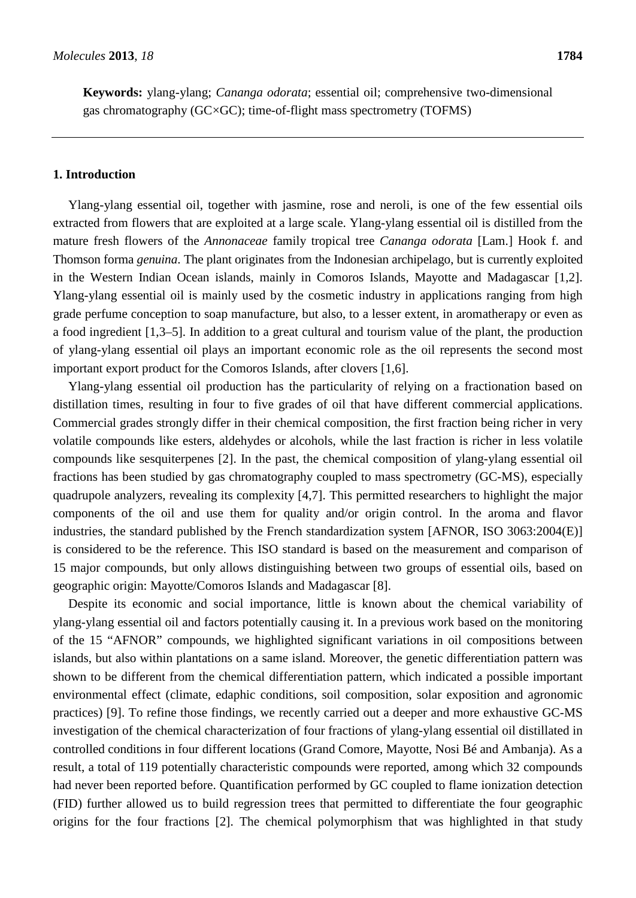**Keywords:** ylang-ylang; *Cananga odorata*; essential oil; comprehensive two-dimensional gas chromatography (GC×GC); time-of-flight mass spectrometry (TOFMS)

#### **1. Introduction**

Ylang-ylang essential oil, together with jasmine, rose and neroli, is one of the few essential oils extracted from flowers that are exploited at a large scale. Ylang-ylang essential oil is distilled from the mature fresh flowers of the *Annonaceae* family tropical tree *Cananga odorata* [Lam.] Hook f. and Thomson forma *genuina*. The plant originates from the Indonesian archipelago, but is currently exploited in the Western Indian Ocean islands, mainly in Comoros Islands, Mayotte and Madagascar [1,2]. Ylang-ylang essential oil is mainly used by the cosmetic industry in applications ranging from high grade perfume conception to soap manufacture, but also, to a lesser extent, in aromatherapy or even as a food ingredient [1,3–5]. In addition to a great cultural and tourism value of the plant, the production of ylang-ylang essential oil plays an important economic role as the oil represents the second most important export product for the Comoros Islands, after clovers [1,6].

Ylang-ylang essential oil production has the particularity of relying on a fractionation based on distillation times, resulting in four to five grades of oil that have different commercial applications. Commercial grades strongly differ in their chemical composition, the first fraction being richer in very volatile compounds like esters, aldehydes or alcohols, while the last fraction is richer in less volatile compounds like sesquiterpenes [2]. In the past, the chemical composition of ylang-ylang essential oil fractions has been studied by gas chromatography coupled to mass spectrometry (GC-MS), especially quadrupole analyzers, revealing its complexity [4,7]. This permitted researchers to highlight the major components of the oil and use them for quality and/or origin control. In the aroma and flavor industries, the standard published by the French standardization system [AFNOR, ISO 3063:2004(E)] is considered to be the reference. This ISO standard is based on the measurement and comparison of 15 major compounds, but only allows distinguishing between two groups of essential oils, based on geographic origin: Mayotte/Comoros Islands and Madagascar [8].

Despite its economic and social importance, little is known about the chemical variability of ylang-ylang essential oil and factors potentially causing it. In a previous work based on the monitoring of the 15 "AFNOR" compounds, we highlighted significant variations in oil compositions between islands, but also within plantations on a same island. Moreover, the genetic differentiation pattern was shown to be different from the chemical differentiation pattern, which indicated a possible important environmental effect (climate, edaphic conditions, soil composition, solar exposition and agronomic practices) [9]. To refine those findings, we recently carried out a deeper and more exhaustive GC-MS investigation of the chemical characterization of four fractions of ylang-ylang essential oil distillated in controlled conditions in four different locations (Grand Comore, Mayotte, Nosi Bé and Ambanja). As a result, a total of 119 potentially characteristic compounds were reported, among which 32 compounds had never been reported before. Quantification performed by GC coupled to flame ionization detection (FID) further allowed us to build regression trees that permitted to differentiate the four geographic origins for the four fractions [2]. The chemical polymorphism that was highlighted in that study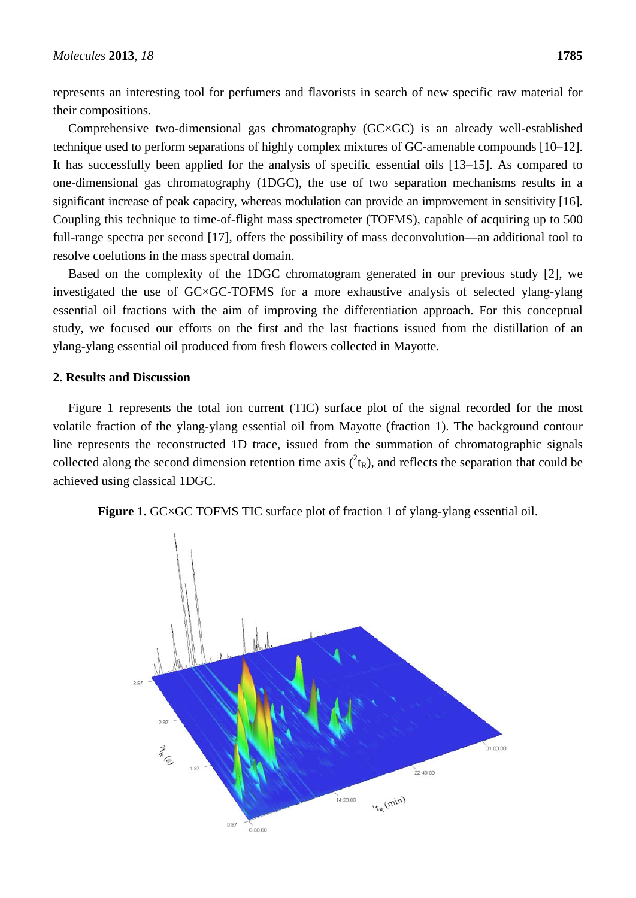represents an interesting tool for perfumers and flavorists in search of new specific raw material for their compositions.

Comprehensive two-dimensional gas chromatography (GC×GC) is an already well-established technique used to perform separations of highly complex mixtures of GC-amenable compounds [10–12]. It has successfully been applied for the analysis of specific essential oils [13–15]. As compared to one-dimensional gas chromatography (1DGC), the use of two separation mechanisms results in a significant increase of peak capacity, whereas modulation can provide an improvement in sensitivity [16]. Coupling this technique to time-of-flight mass spectrometer (TOFMS), capable of acquiring up to 500 full-range spectra per second [17], offers the possibility of mass deconvolution—an additional tool to resolve coelutions in the mass spectral domain.

Based on the complexity of the 1DGC chromatogram generated in our previous study [2], we investigated the use of GC×GC-TOFMS for a more exhaustive analysis of selected ylang-ylang essential oil fractions with the aim of improving the differentiation approach. For this conceptual study, we focused our efforts on the first and the last fractions issued from the distillation of an ylang-ylang essential oil produced from fresh flowers collected in Mayotte.

#### **2. Results and Discussion**

Figure 1 represents the total ion current (TIC) surface plot of the signal recorded for the most volatile fraction of the ylang-ylang essential oil from Mayotte (fraction 1). The background contour line represents the reconstructed 1D trace, issued from the summation of chromatographic signals collected along the second dimension retention time axis  $({}^2t_R)$ , and reflects the separation that could be achieved using classical 1DGC.



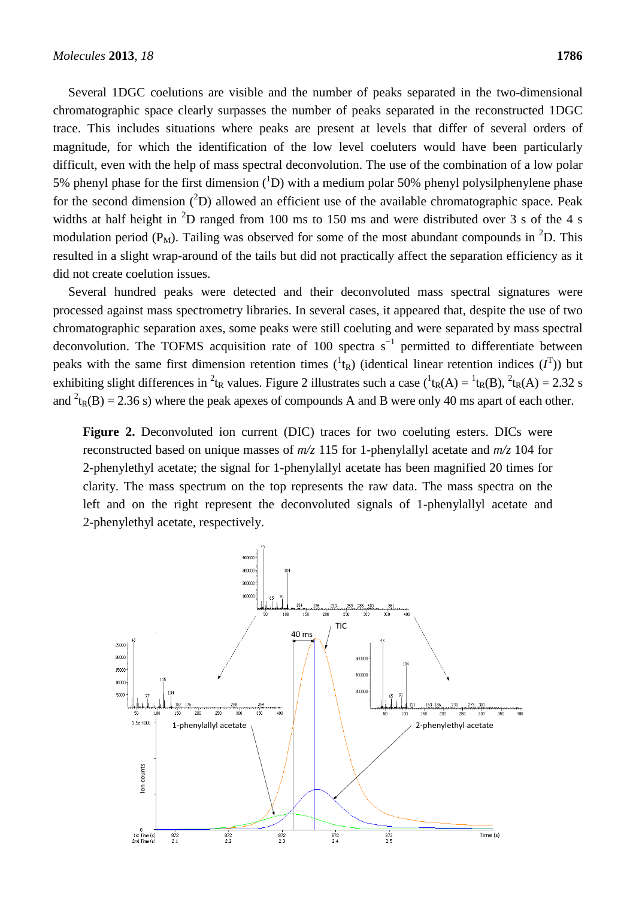Several 1DGC coelutions are visible and the number of peaks separated in the two-dimensional chromatographic space clearly surpasses the number of peaks separated in the reconstructed 1DGC trace. This includes situations where peaks are present at levels that differ of several orders of magnitude, for which the identification of the low level coeluters would have been particularly difficult, even with the help of mass spectral deconvolution. The use of the combination of a low polar 5% phenyl phase for the first dimension  $({}^{1}D)$  with a medium polar 50% phenyl polysilphenylene phase for the second dimension  $(^{2}D)$  allowed an efficient use of the available chromatographic space. Peak widths at half height in  ${}^{2}D$  ranged from 100 ms to 150 ms and were distributed over 3 s of the 4 s modulation period ( $P_M$ ). Tailing was observed for some of the most abundant compounds in <sup>2</sup>D. This resulted in a slight wrap-around of the tails but did not practically affect the separation efficiency as it did not create coelution issues.

Several hundred peaks were detected and their deconvoluted mass spectral signatures were processed against mass spectrometry libraries. In several cases, it appeared that, despite the use of two chromatographic separation axes, some peaks were still coeluting and were separated by mass spectral deconvolution. The TOFMS acquisition rate of 100 spectra  $s^{-1}$  permitted to differentiate between peaks with the same first dimension retention times  $({}^1$ t<sub>R</sub>) (identical linear retention indices  $(I^T)$ ) but exhibiting slight differences in <sup>2</sup>t<sub>R</sub> values. Figure 2 illustrates such a case  $({}^1$ t<sub>R</sub>(A) =  ${}^1$ t<sub>R</sub>(B),  ${}^2$ t<sub>R</sub>(A) = 2.32 s and  ${}^{2}t_{R}(B) = 2.36$  s) where the peak apexes of compounds A and B were only 40 ms apart of each other.

**Figure 2.** Deconvoluted ion current (DIC) traces for two coeluting esters. DICs were reconstructed based on unique masses of *m/z* 115 for 1-phenylallyl acetate and *m/z* 104 for 2-phenylethyl acetate; the signal for 1-phenylallyl acetate has been magnified 20 times for clarity. The mass spectrum on the top represents the raw data. The mass spectra on the left and on the right represent the deconvoluted signals of 1-phenylallyl acetate and 2-phenylethyl acetate, respectively.

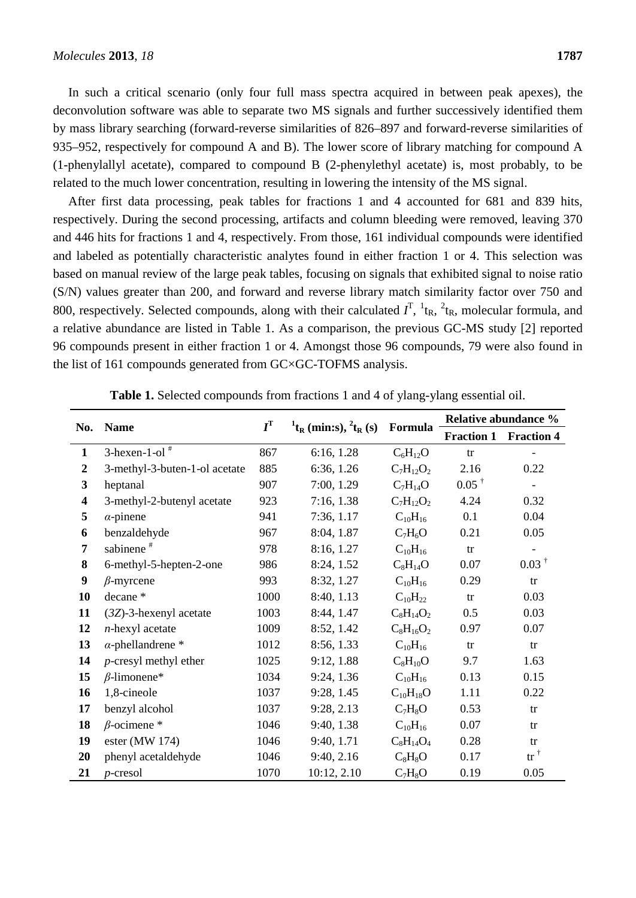In such a critical scenario (only four full mass spectra acquired in between peak apexes), the deconvolution software was able to separate two MS signals and further successively identified them by mass library searching (forward-reverse similarities of 826–897 and forward-reverse similarities of 935–952, respectively for compound A and B). The lower score of library matching for compound A (1-phenylallyl acetate), compared to compound B (2-phenylethyl acetate) is, most probably, to be related to the much lower concentration, resulting in lowering the intensity of the MS signal.

After first data processing, peak tables for fractions 1 and 4 accounted for 681 and 839 hits, respectively. During the second processing, artifacts and column bleeding were removed, leaving 370 and 446 hits for fractions 1 and 4, respectively. From those, 161 individual compounds were identified and labeled as potentially characteristic analytes found in either fraction 1 or 4. This selection was based on manual review of the large peak tables, focusing on signals that exhibited signal to noise ratio (S/N) values greater than 200, and forward and reverse library match similarity factor over 750 and 800, respectively. Selected compounds, along with their calculated  $I^T$ ,  ${}^1$ t<sub>R</sub>,  ${}^2$ t<sub>R</sub>, molecular formula, and a relative abundance are listed in Table 1. As a comparison, the previous GC-MS study [2] reported 96 compounds present in either fraction 1 or 4. Amongst those 96 compounds, 79 were also found in the list of 161 compounds generated from GC×GC-TOFMS analysis.

| No.              | <b>Name</b>                   | $I^{\mathrm{T}}$ |                                                          | Formula         | <b>Relative abundance %</b> |                   |
|------------------|-------------------------------|------------------|----------------------------------------------------------|-----------------|-----------------------------|-------------------|
|                  |                               |                  | $^{1}$ t <sub>R</sub> (min:s), $^{2}$ t <sub>R</sub> (s) |                 | <b>Fraction 1</b>           | <b>Fraction 4</b> |
| $\mathbf{1}$     | $3$ -hexen-1-ol <sup>#</sup>  | 867              | 6:16, 1.28                                               | $C_6H_{12}O$    | tr                          |                   |
| $\boldsymbol{2}$ | 3-methyl-3-buten-1-ol acetate | 885              | 6:36, 1.26                                               | $C_7H_{12}O_2$  | 2.16                        | 0.22              |
| $\mathbf{3}$     | heptanal                      | 907              | 7:00, 1.29                                               | $C_7H_{14}O$    | $0.05^{\dagger}$            |                   |
| 4                | 3-methyl-2-butenyl acetate    | 923              | 7:16, 1.38                                               | $C_7H_{12}O_2$  | 4.24                        | 0.32              |
| 5                | $\alpha$ -pinene              | 941              | 7:36, 1.17                                               | $C_{10}H_{16}$  | 0.1                         | 0.04              |
| 6                | benzaldehyde                  | 967              | 8:04, 1.87                                               | $C_7H_6O$       | 0.21                        | 0.05              |
| 7                | sabinene <sup>#</sup>         | 978              | 8:16, 1.27                                               | $C_{10}H_{16}$  | tr                          |                   |
| 8                | 6-methyl-5-hepten-2-one       | 986              | 8:24, 1.52                                               | $C_8H_{14}O$    | 0.07                        | $0.03^{\dagger}$  |
| 9                | $\beta$ -myrcene              | 993              | 8:32, 1.27                                               | $C_{10}H_{16}$  | 0.29                        | tr                |
| 10               | decane *                      | 1000             | 8:40, 1.13                                               | $C_{10}H_{22}$  | tr                          | 0.03              |
| 11               | $(3Z)$ -3-hexenyl acetate     | 1003             | 8:44, 1.47                                               | $C_8H_{14}O_2$  | 0.5                         | 0.03              |
| 12               | $n$ -hexyl acetate            | 1009             | 8:52, 1.42                                               | $C_8H_{16}O_2$  | 0.97                        | 0.07              |
| 13               | $\alpha$ -phellandrene *      | 1012             | 8:56, 1.33                                               | $C_{10}H_{16}$  | tr                          | tr                |
| 14               | <i>p</i> -cresyl methyl ether | 1025             | 9:12, 1.88                                               | $C_8H_{10}O$    | 9.7                         | 1.63              |
| 15               | $\beta$ -limonene*            | 1034             | 9:24, 1.36                                               | $C_{10}H_{16}$  | 0.13                        | 0.15              |
| 16               | 1,8-cineole                   | 1037             | 9:28, 1.45                                               | $C_{10}H_{18}O$ | 1.11                        | 0.22              |
| 17               | benzyl alcohol                | 1037             | 9:28, 2.13                                               | $C_7H_8O$       | 0.53                        | tr                |
| 18               | $\beta$ -ocimene *            | 1046             | 9:40, 1.38                                               | $C_{10}H_{16}$  | 0.07                        | tr                |
| 19               | ester (MW 174)                | 1046             | 9:40, 1.71                                               | $C_8H_{14}O_4$  | 0.28                        | tr                |
| 20               | phenyl acetaldehyde           | 1046             | 9:40, 2.16                                               | $C_8H_8O$       | 0.17                        | $tr^{\dagger}$    |
| 21               | $p$ -cresol                   | 1070             | 10:12, 2.10                                              | $C_7H_8O$       | 0.19                        | 0.05              |

**Table 1.** Selected compounds from fractions 1 and 4 of ylang-ylang essential oil.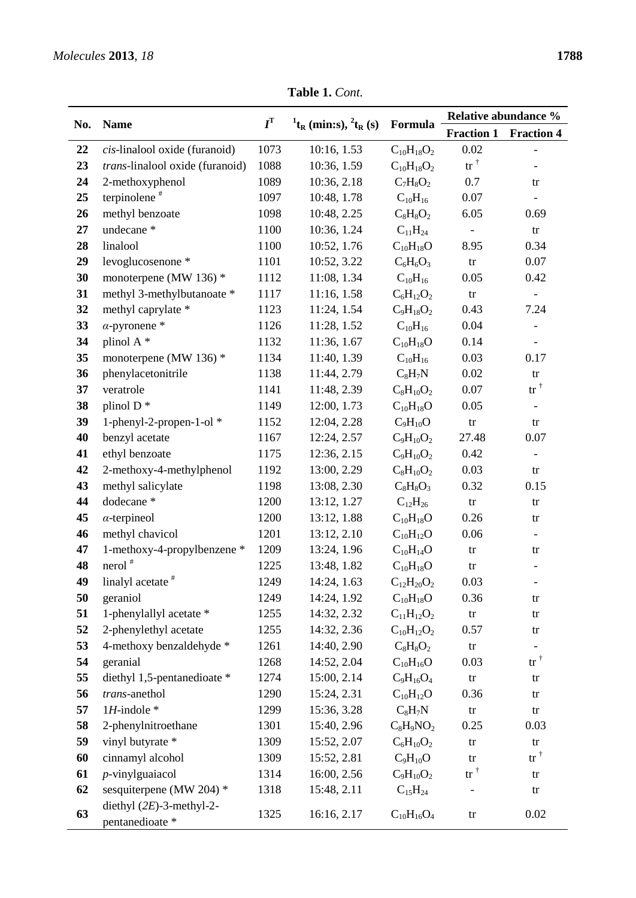| No.      | <b>Name</b>                                                      | $I^{\mathrm{T}}$ | $^{1}t_{R}$ (min:s), $^{2}t_{R}$ (s) | Formula                       | Relative abundance %      |                                |
|----------|------------------------------------------------------------------|------------------|--------------------------------------|-------------------------------|---------------------------|--------------------------------|
|          |                                                                  |                  |                                      |                               | <b>Fraction 1</b><br>0.02 | <b>Fraction 4</b>              |
| 22       | cis-linalool oxide (furanoid)<br>trans-linalool oxide (furanoid) | 1073<br>1088     | 10:16, 1.53                          | $C_{10}H_{18}O_2$             | $tr^{\dagger}$            |                                |
| 23       |                                                                  | 1089             | 10:36, 1.59<br>10:36, 2.18           | $C_{10}H_{18}O_2$             |                           |                                |
| 24<br>25 | 2-methoxyphenol<br>terpinolene <sup>#</sup>                      | 1097             | 10:48, 1.78                          | $C_7H_8O_2$                   | 0.7<br>0.07               | tr                             |
| 26       | methyl benzoate                                                  | 1098             | 10:48, 2.25                          | $C_{10}H_{16}$<br>$C_8H_8O_2$ | 6.05                      | 0.69                           |
| 27       | undecane <sup>*</sup>                                            | 1100             | 10:36, 1.24                          | $C_{11}H_{24}$                |                           |                                |
| 28       | linalool                                                         | 1100             | 10:52, 1.76                          | $C_{10}H_{18}O$               | 8.95                      | $\mathop{\mathrm{tr}}$<br>0.34 |
| 29       | levoglucosenone *                                                | 1101             | 10:52, 3.22                          | $C_6H_6O_3$                   | $\mathop{\mathrm{tr}}$    | 0.07                           |
| 30       | monoterpene (MW 136) *                                           | 1112             | 11:08, 1.34                          | $C_{10}H_{16}$                | 0.05                      | 0.42                           |
| 31       | methyl 3-methylbutanoate *                                       | 1117             | 11:16, 1.58                          | $C_6H_{12}O_2$                | $\mathop{\mathrm{tr}}$    |                                |
| 32       | methyl caprylate *                                               | 1123             | 11:24, 1.54                          | $C_9H_{18}O_2$                | 0.43                      | 7.24                           |
| 33       | $\alpha$ -pyronene *                                             | 1126             | 11:28, 1.52                          | $C_{10}H_{16}$                | 0.04                      |                                |
| 34       | plinol A <sup>*</sup>                                            | 1132             | 11:36, 1.67                          | $C_{10}H_{18}O$               | 0.14                      |                                |
| 35       | monoterpene (MW 136) $*$                                         | 1134             | 11:40, 1.39                          | $C_{10}H_{16}$                | 0.03                      | 0.17                           |
| 36       | phenylacetonitrile                                               | 1138             | 11:44, 2.79                          | $C_8H_7N$                     | 0.02                      | $\mathop{\mathrm{tr}}$         |
| 37       | veratrole                                                        | 1141             | 11:48, 2.39                          | $C_8H_{10}O_2$                | 0.07                      | $tr^{\dagger}$                 |
| 38       | plinol $D^*$                                                     | 1149             | 12:00, 1.73                          | $C_{10}H_{18}O$               | 0.05                      |                                |
| 39       | 1-phenyl-2-propen-1-ol *                                         | 1152             | 12:04, 2.28                          | $C_9H_{10}O$                  | $\mathop{\mathrm{tr}}$    | tr                             |
| 40       | benzyl acetate                                                   | 1167             | 12:24, 2.57                          | $C_9H_{10}O_2$                | 27.48                     | 0.07                           |
| 41       | ethyl benzoate                                                   | 1175             | 12:36, 2.15                          | $C_9H_{10}O_2$                | 0.42                      |                                |
| 42       | 2-methoxy-4-methylphenol                                         | 1192             | 13:00, 2.29                          | $C_8H_{10}O_2$                | 0.03                      | tr                             |
| 43       | methyl salicylate                                                | 1198             | 13:08, 2.30                          | $C_8H_8O_3$                   | 0.32                      | 0.15                           |
| 44       | dodecane *                                                       | 1200             | 13:12, 1.27                          | $C_{12}H_{26}$                | ${\rm tr}$                | tr                             |
| 45       | $\alpha$ -terpineol                                              | 1200             | 13:12, 1.88                          | $C_{10}H_{18}O$               | 0.26                      | tr                             |
| 46       | methyl chavicol                                                  | 1201             | 13:12, 2.10                          | $C_{10}H_{12}O$               | 0.06                      | $\overline{\phantom{a}}$       |
| 47       | 1-methoxy-4-propylbenzene *                                      | 1209             | 13:24, 1.96                          | $C_{10}H_{14}O$               | $\mathop{\mathrm{tr}}$    | tr                             |
| 48       | $nerol$ <sup>#</sup>                                             | 1225             | 13:48, 1.82                          | $C_{10}H_{18}O$               | tr                        |                                |
| 49       | linalyl acetate                                                  | 1249             | 14:24, 1.63                          | $C_{12}H_{20}O_2$             | 0.03                      | $\overline{\phantom{0}}$       |
| 50       | geraniol                                                         | 1249             | 14:24, 1.92                          | $C_{10}H_{18}O$               | 0.36                      | tr                             |
| 51       | 1-phenylallyl acetate *                                          | 1255             | 14:32, 2.32                          | $C_{11}H_{12}O_2$             | $\mathop{\mathrm{tr}}$    | tr                             |
| 52       | 2-phenylethyl acetate                                            | 1255             | 14:32, 2.36                          | $C_{10}H_{12}O_2$             | 0.57                      | tr                             |
| 53       | 4-methoxy benzaldehyde *                                         | 1261             | 14:40, 2.90                          | $C_8H_8O_2$                   | $\mathop{\mathrm{tr}}$    | $\overline{\phantom{a}}$       |
| 54       | geranial                                                         | 1268             | 14:52, 2.04                          | $C_{10}H_{16}O$               | 0.03                      | $tr^{\dagger}$                 |
| 55       | diethyl 1,5-pentanedioate *                                      | 1274             | 15:00, 2.14                          | $C_9H_{16}O_4$                | $\mathop{\mathrm{tr}}$    | tr                             |
| 56       | trans-anethol                                                    | 1290             | 15:24, 2.31                          | $C_{10}H_{12}O$               | 0.36                      | tr                             |
| 57       | $1H$ -indole $*$                                                 | 1299             | 15:36, 3.28                          | $C_8H_7N$                     | ${\rm tr}$                | tr                             |
| 58       | 2-phenylnitroethane                                              | 1301             | 15:40, 2.96                          | $C_8H_9NO_2$                  | 0.25                      | 0.03                           |
| 59       | vinyl butyrate *                                                 | 1309             | 15:52, 2.07                          | $C_6H_{10}O_2$                | tr                        | tr                             |
| 60       | cinnamyl alcohol                                                 | 1309             | 15:52, 2.81                          | $C_9H_{10}O$                  | tr                        | $tr^{\dagger}$                 |
| 61       | $p$ -vinylguaiacol                                               | 1314             | 16:00, 2.56                          | $C_9H_{10}O_2$                | $\mbox{tr}^{\,\dagger}$   | tr                             |
| 62       | sesquiterpene (MW 204) *                                         | 1318             | 15:48, 2.11                          | $C_{15}H_{24}$                |                           | tr                             |
| 63       | diethyl $(2E)$ -3-methyl-2-<br>pentanedioate *                   | 1325             | 16:16, 2.17                          | $C_{10}H_{16}O_4$             | $\mathop{\mathrm{tr}}$    | 0.02                           |

**Table 1.** *Cont.*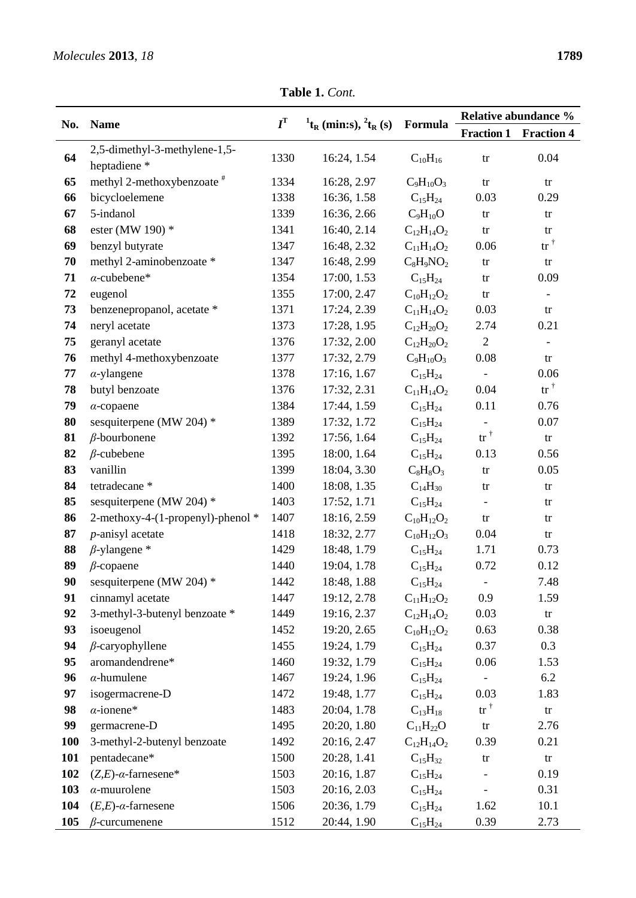**Table 1.** *Cont.*

|     | <b>Name</b>                                  | $I^{\mathrm{T}}$ |                                                          |                   | Relative abundance %   |                         |
|-----|----------------------------------------------|------------------|----------------------------------------------------------|-------------------|------------------------|-------------------------|
| No. |                                              |                  | $^{1}$ t <sub>R</sub> (min:s), $^{2}$ t <sub>R</sub> (s) | Formula           | <b>Fraction 1</b>      | <b>Fraction 4</b>       |
| 64  | 2,5-dimethyl-3-methylene-1,5-<br>heptadiene* | 1330             | 16:24, 1.54                                              | $C_{10}H_{16}$    | $\mathop{\mathrm{tr}}$ | 0.04                    |
| 65  | methyl 2-methoxybenzoate <sup>#</sup>        | 1334             | 16:28, 2.97                                              | $C_9H_{10}O_3$    | $\mathop{\mathrm{tr}}$ | ${\rm tr}$              |
| 66  | bicycloelemene                               | 1338             | 16:36, 1.58                                              | $C_{15}H_{24}$    | 0.03                   | 0.29                    |
| 67  | 5-indanol                                    | 1339             | 16:36, 2.66                                              | $C_9H_{10}O$      | $\mathop{\mathrm{tr}}$ | tr                      |
| 68  | ester (MW 190) *                             | 1341             | 16:40, 2.14                                              | $C_{12}H_{14}O_2$ | $\mathop{\mathrm{tr}}$ | tr                      |
| 69  | benzyl butyrate                              | 1347             | 16:48, 2.32                                              | $C_{11}H_{14}O_2$ | 0.06                   | $\mathrm{tr}^{\dagger}$ |
| 70  | methyl 2-aminobenzoate *                     | 1347             | 16:48, 2.99                                              | $C_8H_9NO_2$      | $\mathop{\mathrm{tr}}$ | ${\rm tr}$              |
| 71  | $\alpha$ -cubebene*                          | 1354             | 17:00, 1.53                                              | $C_{15}H_{24}$    | $\mathop{\mathrm{tr}}$ | 0.09                    |
| 72  | eugenol                                      | 1355             | 17:00, 2.47                                              | $C_{10}H_{12}O_2$ | $\mathop{\mathrm{tr}}$ |                         |
| 73  | benzenepropanol, acetate *                   | 1371             | 17:24, 2.39                                              | $C_{11}H_{14}O_2$ | 0.03                   | ${\rm tr}$              |
| 74  | neryl acetate                                | 1373             | 17:28, 1.95                                              | $C_{12}H_{20}O_2$ | 2.74                   | 0.21                    |
| 75  | geranyl acetate                              | 1376             | 17:32, 2.00                                              | $C_{12}H_{20}O_2$ | $\overline{2}$         | $\Box$                  |
| 76  | methyl 4-methoxybenzoate                     | 1377             | 17:32, 2.79                                              | $C_9H_{10}O_3$    | 0.08                   | tr                      |
| 77  | $\alpha$ -ylangene                           | 1378             | 17:16, 1.67                                              | $C_{15}H_{24}$    |                        | 0.06                    |
| 78  | butyl benzoate                               | 1376             | 17:32, 2.31                                              | $C_{11}H_{14}O_2$ | 0.04                   | $tr^{\dagger}$          |
| 79  | $\alpha$ -copaene                            | 1384             | 17:44, 1.59                                              | $C_{15}H_{24}$    | 0.11                   | 0.76                    |
| 80  | sesquiterpene (MW 204) *                     | 1389             | 17:32, 1.72                                              | $C_{15}H_{24}$    |                        | 0.07                    |
| 81  | $\beta$ -bourbonene                          | 1392             | 17:56, 1.64                                              | $C_{15}H_{24}$    | $tr^{\dagger}$         | tr                      |
| 82  | $\beta$ -cubebene                            | 1395             | 18:00, 1.64                                              | $C_{15}H_{24}$    | 0.13                   | 0.56                    |
| 83  | vanillin                                     | 1399             | 18:04, 3.30                                              | $C_8H_8O_3$       | $\mathop{\mathrm{tr}}$ | 0.05                    |
| 84  | tetradecane *                                | 1400             | 18:08, 1.35                                              | $C_{14}H_{30}$    | tr                     | $\mathop{\mathrm{tr}}$  |
| 85  | sesquiterpene (MW 204) *                     | 1403             | 17:52, 1.71                                              | $C_{15}H_{24}$    |                        | tr                      |
| 86  | 2-methoxy-4-(1-propenyl)-phenol *            | 1407             | 18:16, 2.59                                              | $C_{10}H_{12}O_2$ | $\mathop{\mathrm{tr}}$ | tr                      |
| 87  | $p$ -anisyl acetate                          | 1418             | 18:32, 2.77                                              | $C_{10}H_{12}O_3$ | 0.04                   | tr                      |
| 88  | $\beta$ -ylangene *                          | 1429             | 18:48, 1.79                                              | $C_{15}H_{24}$    | 1.71                   | 0.73                    |
| 89  | $\beta$ -copaene                             | 1440             | 19:04, 1.78                                              | $C_{15}H_{24}$    | 0.72                   | 0.12                    |
| 90  | sesquiterpene (MW 204) *                     | 1442             | 18:48, 1.88                                              | $C_{15}H_{24}$    | $\blacksquare$         | 7.48                    |
| 91  | cinnamyl acetate                             | 1447             | 19:12, 2.78                                              | $C_{11}H_{12}O_2$ | 0.9                    | 1.59                    |
| 92  | 3-methyl-3-butenyl benzoate *                | 1449             | 19:16, 2.37                                              | $C_{12}H_{14}O_2$ | 0.03                   | ${\rm tr}$              |
| 93  | isoeugenol                                   | 1452             | 19:20, 2.65                                              | $C_{10}H_{12}O_2$ | 0.63                   | 0.38                    |
| 94  | $\beta$ -caryophyllene                       | 1455             | 19:24, 1.79                                              | $C_{15}H_{24}$    | 0.37                   | 0.3                     |
| 95  | aromandendrene*                              | 1460             | 19:32, 1.79                                              | $C_{15}H_{24}$    | 0.06                   | 1.53                    |
| 96  | $\alpha$ -humulene                           | 1467             | 19:24, 1.96                                              | $C_{15}H_{24}$    |                        | 6.2                     |
| 97  | isogermacrene-D                              | 1472             | 19:48, 1.77                                              | $C_{15}H_{24}$    | 0.03                   | 1.83                    |
| 98  | $\alpha$ -ionene*                            | 1483             | 20:04, 1.78                                              | $C_{13}H_{18}$    | $tr^{\dagger}$         | $\mathop{\mathrm{tr}}$  |
| 99  | germacrene-D                                 | 1495             | 20:20, 1.80                                              | $C_{11}H_{22}O$   | $\mathop{\mathrm{tr}}$ | 2.76                    |
| 100 | 3-methyl-2-butenyl benzoate                  | 1492             | 20:16, 2.47                                              | $C_{12}H_{14}O_2$ | 0.39                   | 0.21                    |
| 101 | pentadecane*                                 | 1500             | 20:28, 1.41                                              | $C_{15}H_{32}$    | $\mathop{\mathrm{tr}}$ | ${\rm tr}$              |
| 102 | $(Z,E)$ - $\alpha$ -farnesene*               | 1503             | 20:16, 1.87                                              | $C_{15}H_{24}$    |                        | 0.19                    |
| 103 | $\alpha$ -muurolene                          | 1503             | 20:16, 2.03                                              | $C_{15}H_{24}$    |                        | 0.31                    |
| 104 | $(E,E)$ - $\alpha$ -farnesene                | 1506             | 20:36, 1.79                                              | $C_{15}H_{24}$    | 1.62                   | 10.1                    |
| 105 | $\beta$ -curcumenene                         | 1512             | 20:44, 1.90                                              | $C_{15}H_{24}$    | 0.39                   | 2.73                    |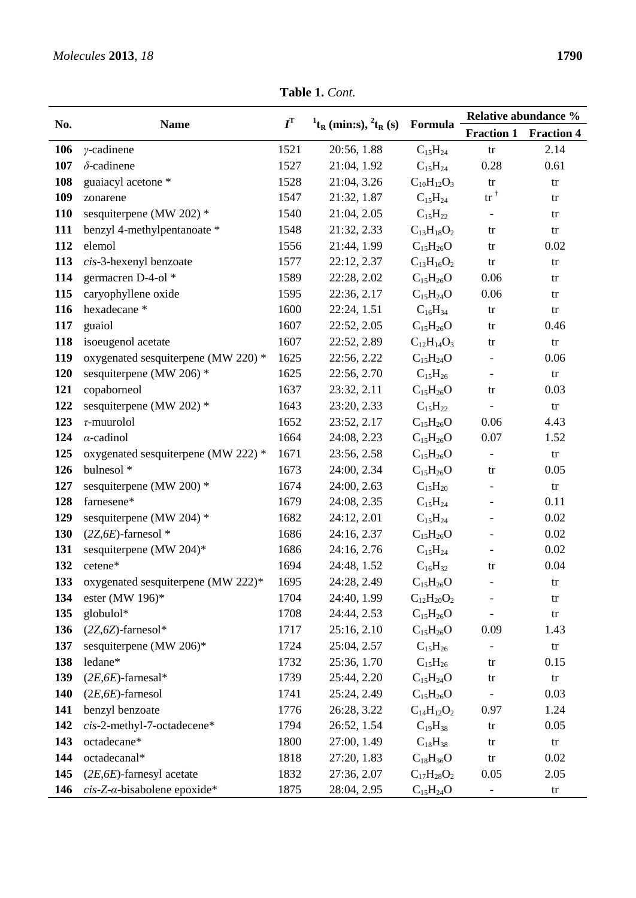**Table 1.** *Cont.*

|     |                                         | $I^{\mathrm{T}}$ | $^{1}$ t <sub>R</sub> (min:s), $^{2}$ t <sub>R</sub> (s) |                   | Relative abundance %       |                        |
|-----|-----------------------------------------|------------------|----------------------------------------------------------|-------------------|----------------------------|------------------------|
| No. | <b>Name</b>                             |                  |                                                          | Formula           | <b>Fraction 1</b>          | <b>Fraction 4</b>      |
| 106 | $\gamma$ -cadinene                      | 1521             | 20:56, 1.88                                              | $C_{15}H_{24}$    | tr                         | 2.14                   |
| 107 | $\delta$ -cadinene                      | 1527             | 21:04, 1.92                                              | $C_{15}H_{24}$    | 0.28                       | 0.61                   |
| 108 | guaiacyl acetone *                      | 1528             | 21:04, 3.26                                              | $C_{10}H_{12}O_3$ | $\mathop{\mathrm{tr}}$     | tr                     |
| 109 | zonarene                                | 1547             | 21:32, 1.87                                              | $C_{15}H_{24}$    | $\mathrm{tr}^{\, \dagger}$ | tr                     |
| 110 | sesquiterpene (MW 202) *                | 1540             | 21:04, 2.05                                              | $C_{15}H_{22}$    |                            | tr                     |
| 111 | benzyl 4-methylpentanoate *             | 1548             | 21:32, 2.33                                              | $C_{13}H_{18}O_2$ | tr                         | $\mathop{\mathrm{tr}}$ |
| 112 | elemol                                  | 1556             | 21:44, 1.99                                              | $C_{15}H_{26}O$   | tr                         | 0.02                   |
| 113 | cis-3-hexenyl benzoate                  | 1577             | 22:12, 2.37                                              | $C_{13}H_{16}O_2$ | tr                         | tr                     |
| 114 | germacren D-4-ol <sup>*</sup>           | 1589             | 22:28, 2.02                                              | $C_{15}H_{26}O$   | 0.06                       | tr                     |
| 115 | caryophyllene oxide                     | 1595             | 22:36, 2.17                                              | $C_{15}H_{24}O$   | 0.06                       | tr                     |
| 116 | hexadecane*                             | 1600             | 22:24, 1.51                                              | $C_{16}H_{34}$    | tr                         | $\mathop{\mathrm{tr}}$ |
| 117 | guaiol                                  | 1607             | 22:52, 2.05                                              | $C_{15}H_{26}O$   | tr                         | 0.46                   |
| 118 | isoeugenol acetate                      | 1607             | 22:52, 2.89                                              | $C_{12}H_{14}O_3$ | tr                         | ${\rm tr}$             |
| 119 | oxygenated sesquiterpene (MW 220) *     | 1625             | 22:56, 2.22                                              | $C_{15}H_{24}O$   | $\overline{\phantom{a}}$   | 0.06                   |
| 120 | sesquiterpene (MW 206) *                | 1625             | 22:56, 2.70                                              | $C_{15}H_{26}$    | $\overline{\phantom{a}}$   | ${\rm tr}$             |
| 121 | copaborneol                             | 1637             | 23:32, 2.11                                              | $C_{15}H_{26}O$   | tr                         | 0.03                   |
| 122 | sesquiterpene (MW 202) *                | 1643             | 23:20, 2.33                                              | $C_{15}H_{22}$    |                            | ${\rm tr}$             |
| 123 | $\tau$ -muurolol                        | 1652             | 23:52, 2.17                                              | $C_{15}H_{26}O$   | 0.06                       | 4.43                   |
| 124 | $\alpha$ -cadinol                       | 1664             | 24:08, 2.23                                              | $C_{15}H_{26}O$   | 0.07                       | 1.52                   |
| 125 | oxygenated sesquiterpene (MW 222) *     | 1671             | 23:56, 2.58                                              | $C_{15}H_{26}O$   | $\overline{\phantom{a}}$   | tr                     |
| 126 | bulnesol <sup>*</sup>                   | 1673             | 24:00, 2.34                                              | $C_{15}H_{26}O$   | tr                         | 0.05                   |
| 127 | sesquiterpene (MW 200) *                | 1674             | 24:00, 2.63                                              | $C_{15}H_{20}$    | $\overline{\phantom{a}}$   | ${\rm tr}$             |
| 128 | farnesene*                              | 1679             | 24:08, 2.35                                              | $C_{15}H_{24}$    | $\overline{\phantom{a}}$   | 0.11                   |
| 129 | sesquiterpene (MW 204) *                | 1682             | 24:12, 2.01                                              | $C_{15}H_{24}$    | $\qquad \qquad -$          | 0.02                   |
| 130 | $(2Z, 6E)$ -farnesol *                  | 1686             | 24:16, 2.37                                              | $C_{15}H_{26}O$   | $\overline{\phantom{a}}$   | 0.02                   |
| 131 | sesquiterpene (MW 204)*                 | 1686             | 24:16, 2.76                                              | $C_{15}H_{24}$    | $\overline{\phantom{a}}$   | 0.02                   |
| 132 | cetene*                                 | 1694             | 24:48, 1.52                                              | $C_{16}H_{32}$    | tr                         | 0.04                   |
| 133 | oxygenated sesquiterpene (MW 222)*      | 1695             | 24:28, 2.49                                              | $C_{15}H_{26}O$   |                            | tr                     |
| 134 | ester (MW 196) $*$                      | 1704             | 24:40, 1.99                                              | $C_{12}H_{20}O_2$ |                            | tr                     |
| 135 | globulol*                               | 1708             | 24:44, 2.53                                              | $C_{15}H_{26}O$   | $\overline{\phantom{0}}$   | tr                     |
| 136 | $(2Z, 6Z)$ -farnesol*                   | 1717             | 25:16, 2.10                                              | $C_{15}H_{26}O$   | 0.09                       | 1.43                   |
| 137 | sesquiterpene (MW 206)*                 | 1724             | 25:04, 2.57                                              | $C_{15}H_{26}$    | $\overline{\phantom{a}}$   | ${\rm tr}$             |
| 138 | ledane*                                 | 1732             | 25:36, 1.70                                              | $C_{15}H_{26}$    | tr                         | 0.15                   |
| 139 | $(2E, 6E)$ -farnesal*                   | 1739             | 25:44, 2.20                                              | $C_{15}H_{24}O$   | tr                         | $\mathop{\mathrm{tr}}$ |
| 140 | $(2E, 6E)$ -farnesol                    | 1741             | 25:24, 2.49                                              | $C_{15}H_{26}O$   |                            | 0.03                   |
| 141 | benzyl benzoate                         | 1776             | 26:28, 3.22                                              | $C_{14}H_{12}O_2$ | 0.97                       | 1.24                   |
| 142 | cis-2-methyl-7-octadecene*              | 1794             | 26:52, 1.54                                              | $C_{19}H_{38}$    | tr                         | 0.05                   |
| 143 | octadecane*                             | 1800             | 27:00, 1.49                                              | $C_{18}H_{38}$    | tr                         | $\mathop{\mathrm{tr}}$ |
| 144 | octadecanal*                            | 1818             | 27:20, 1.83                                              | $C_{18}H_{36}O$   | tr                         | 0.02                   |
| 145 | $(2E, 6E)$ -farnesyl acetate            | 1832             | 27:36, 2.07                                              | $C_{17}H_{28}O_2$ | 0.05                       | 2.05                   |
| 146 | $cis$ -Z- $\alpha$ -bisabolene epoxide* | 1875             | 28:04, 2.95                                              | $C_{15}H_{24}O$   | $\overline{\phantom{a}}$   | tr                     |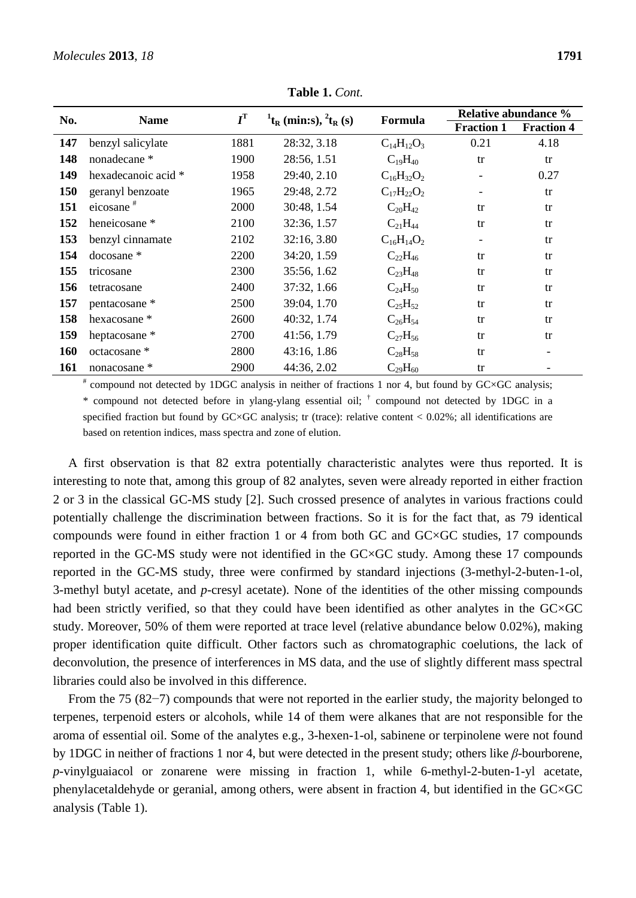| No. | <b>Name</b>           | $I^{\mathrm{T}}$ | $^{1}$ t <sub>R</sub> (min:s), $^{2}$ t <sub>R</sub> (s) | Formula           | Relative abundance %     |                   |
|-----|-----------------------|------------------|----------------------------------------------------------|-------------------|--------------------------|-------------------|
|     |                       |                  |                                                          |                   | <b>Fraction 1</b>        | <b>Fraction 4</b> |
| 147 | benzyl salicylate     | 1881             | 28:32, 3.18                                              | $C_{14}H_{12}O_3$ | 0.21                     | 4.18              |
| 148 | nonadecane *          | 1900             | 28:56, 1.51                                              | $C_{19}H_{40}$    | tr                       | tr                |
| 149 | hexadecanoic acid *   | 1958             | 29:40, 2.10                                              | $C_{16}H_{32}O_2$ | $\overline{\phantom{a}}$ | 0.27              |
| 150 | geranyl benzoate      | 1965             | 29:48, 2.72                                              | $C_{17}H_{22}O_2$ | $\overline{\phantom{a}}$ | tr                |
| 151 | eicosane <sup>#</sup> | 2000             | 30:48, 1.54                                              | $C_{20}H_{42}$    | tr                       | tr                |
| 152 | heneicosane *         | 2100             | 32:36, 1.57                                              | $C_{21}H_{44}$    | tr                       | tr                |
| 153 | benzyl cinnamate      | 2102             | 32:16, 3.80                                              | $C_{16}H_{14}O_2$ | $\overline{\phantom{a}}$ | tr                |
| 154 | $docosane *$          | 2200             | 34:20, 1.59                                              | $C_{22}H_{46}$    | tr                       | tr                |
| 155 | tricosane             | 2300             | 35:56, 1.62                                              | $C_{23}H_{48}$    | tr                       | tr                |
| 156 | tetracosane           | 2400             | 37:32, 1.66                                              | $C_{24}H_{50}$    | tr                       | tr                |
| 157 | pentacosane *         | 2500             | 39:04, 1.70                                              | $C_{25}H_{52}$    | tr                       | tr                |
| 158 | hexacosane *          | 2600             | 40:32, 1.74                                              | $C_{26}H_{54}$    | tr                       | tr                |
| 159 | heptacosane *         | 2700             | 41:56, 1.79                                              | $C_{27}H_{56}$    | tr                       | tr                |
| 160 | octacosane *          | 2800             | 43:16, 1.86                                              | $C_{28}H_{58}$    | tr                       |                   |
| 161 | nonacosane *          | 2900             | 44:36, 2.02                                              | $C_{29}H_{60}$    | tr                       |                   |

**Table 1.** *Cont.*

# compound not detected by 1DGC analysis in neither of fractions 1 nor 4, but found by GC×GC analysis; \* compound not detected before in ylang-ylang essential oil; † compound not detected by 1DGC in a specified fraction but found by  $GC \times GC$  analysis; tr (trace): relative content  $\lt 0.02\%$ ; all identifications are based on retention indices, mass spectra and zone of elution.

A first observation is that 82 extra potentially characteristic analytes were thus reported. It is interesting to note that, among this group of 82 analytes, seven were already reported in either fraction 2 or 3 in the classical GC-MS study [2]. Such crossed presence of analytes in various fractions could potentially challenge the discrimination between fractions. So it is for the fact that, as 79 identical compounds were found in either fraction 1 or 4 from both GC and GC×GC studies, 17 compounds reported in the GC-MS study were not identified in the GC×GC study. Among these 17 compounds reported in the GC-MS study, three were confirmed by standard injections (3-methyl-2-buten-1-ol, 3-methyl butyl acetate, and *p*-cresyl acetate). None of the identities of the other missing compounds had been strictly verified, so that they could have been identified as other analytes in the GC×GC study. Moreover, 50% of them were reported at trace level (relative abundance below 0.02%), making proper identification quite difficult. Other factors such as chromatographic coelutions, the lack of deconvolution, the presence of interferences in MS data, and the use of slightly different mass spectral libraries could also be involved in this difference.

From the 75 (82−7) compounds that were not reported in the earlier study, the majority belonged to terpenes, terpenoid esters or alcohols, while 14 of them were alkanes that are not responsible for the aroma of essential oil. Some of the analytes e.g., 3-hexen-1-ol, sabinene or terpinolene were not found by 1DGC in neither of fractions 1 nor 4, but were detected in the present study; others like *β*-bourborene, *p*-vinylguaiacol or zonarene were missing in fraction 1, while 6-methyl-2-buten-1-yl acetate, phenylacetaldehyde or geranial, among others, were absent in fraction 4, but identified in the GC×GC analysis (Table 1).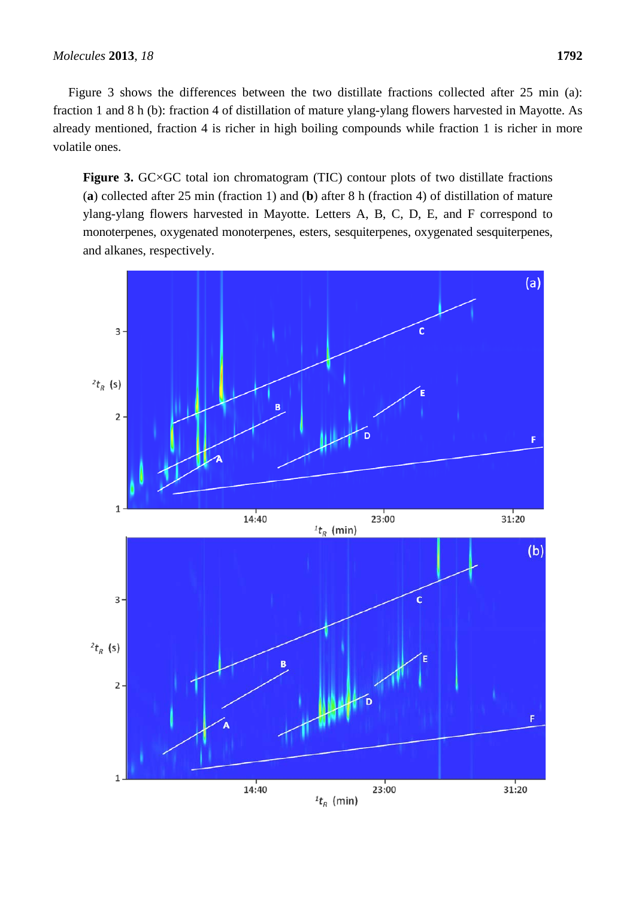Figure 3 shows the differences between the two distillate fractions collected after 25 min (a): fraction 1 and 8 h (b): fraction 4 of distillation of mature ylang-ylang flowers harvested in Mayotte. As already mentioned, fraction 4 is richer in high boiling compounds while fraction 1 is richer in more volatile ones.

Figure 3. GC×GC total ion chromatogram (TIC) contour plots of two distillate fractions (**a**) collected after 25 min (fraction 1) and (**b**) after 8 h (fraction 4) of distillation of mature ylang-ylang flowers harvested in Mayotte. Letters A, B, C, D, E, and F correspond to monoterpenes, oxygenated monoterpenes, esters, sesquiterpenes, oxygenated sesquiterpenes, and alkanes, respectively.

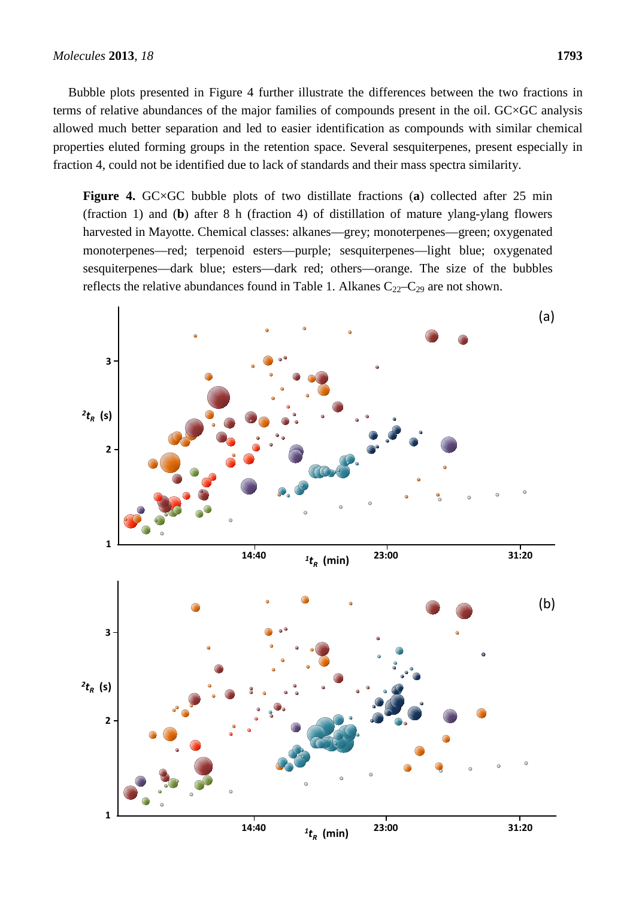Bubble plots presented in Figure 4 further illustrate the differences between the two fractions in terms of relative abundances of the major families of compounds present in the oil. GC×GC analysis allowed much better separation and led to easier identification as compounds with similar chemical properties eluted forming groups in the retention space. Several sesquiterpenes, present especially in fraction 4, could not be identified due to lack of standards and their mass spectra similarity.

**Figure 4.** GC×GC bubble plots of two distillate fractions (**a**) collected after 25 min (fraction 1) and (**b**) after 8 h (fraction 4) of distillation of mature ylang-ylang flowers harvested in Mayotte. Chemical classes: alkanes—grey; monoterpenes—green; oxygenated monoterpenes—red; terpenoid esters—purple; sesquiterpenes—light blue; oxygenated sesquiterpenes—dark blue; esters—dark red; others—orange. The size of the bubbles reflects the relative abundances found in Table 1. Alkanes  $C_{22}-C_{29}$  are not shown.

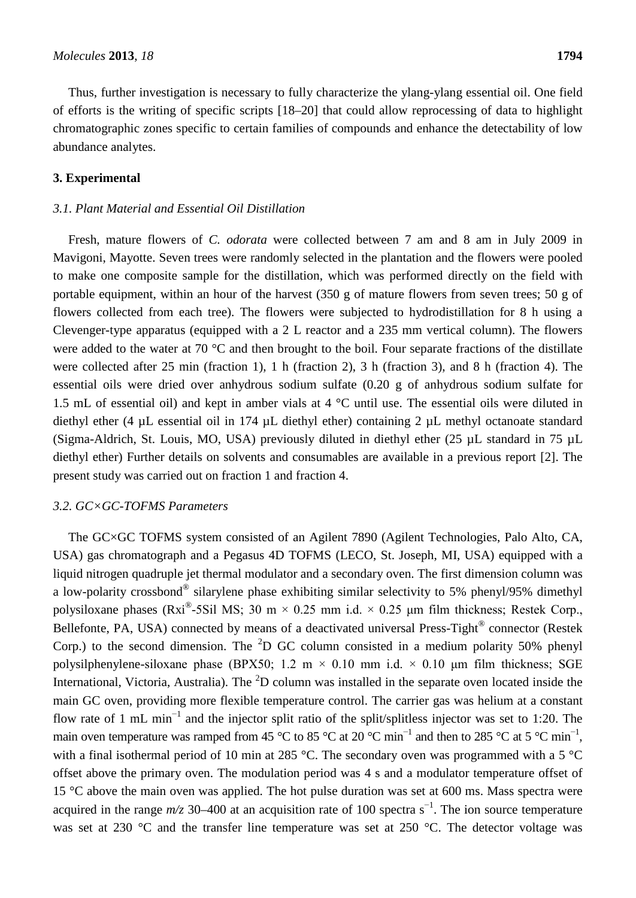Thus, further investigation is necessary to fully characterize the ylang-ylang essential oil. One field of efforts is the writing of specific scripts [18–20] that could allow reprocessing of data to highlight chromatographic zones specific to certain families of compounds and enhance the detectability of low abundance analytes.

#### **3. Experimental**

## *3.1. Plant Material and Essential Oil Distillation*

Fresh, mature flowers of *C. odorata* were collected between 7 am and 8 am in July 2009 in Mavigoni, Mayotte. Seven trees were randomly selected in the plantation and the flowers were pooled to make one composite sample for the distillation, which was performed directly on the field with portable equipment, within an hour of the harvest (350 g of mature flowers from seven trees; 50 g of flowers collected from each tree). The flowers were subjected to hydrodistillation for 8 h using a Clevenger-type apparatus (equipped with a 2 L reactor and a 235 mm vertical column). The flowers were added to the water at 70  $\degree$ C and then brought to the boil. Four separate fractions of the distillate were collected after 25 min (fraction 1), 1 h (fraction 2), 3 h (fraction 3), and 8 h (fraction 4). The essential oils were dried over anhydrous sodium sulfate (0.20 g of anhydrous sodium sulfate for 1.5 mL of essential oil) and kept in amber vials at 4 °C until use. The essential oils were diluted in diethyl ether (4 µL essential oil in 174 µL diethyl ether) containing 2 µL methyl octanoate standard (Sigma-Aldrich, St. Louis, MO, USA) previously diluted in diethyl ether (25 µL standard in 75 µL diethyl ether) Further details on solvents and consumables are available in a previous report [2]. The present study was carried out on fraction 1 and fraction 4.

#### *3.2. GC×GC-TOFMS Parameters*

The GC×GC TOFMS system consisted of an Agilent 7890 (Agilent Technologies, Palo Alto, CA, USA) gas chromatograph and a Pegasus 4D TOFMS (LECO, St. Joseph, MI, USA) equipped with a liquid nitrogen quadruple jet thermal modulator and a secondary oven. The first dimension column was a low-polarity crossbond® silarylene phase exhibiting similar selectivity to 5% phenyl/95% dimethyl polysiloxane phases (Rxi<sup>®</sup>-5Sil MS; 30 m × 0.25 mm i.d. × 0.25 µm film thickness; Restek Corp., Bellefonte, PA, USA) connected by means of a deactivated universal Press-Tight<sup>®</sup> connector (Restek Corp.) to the second dimension. The  ${}^{2}D$  GC column consisted in a medium polarity 50% phenyl polysilphenylene-siloxane phase (BPX50; 1.2 m  $\times$  0.10 mm i.d.  $\times$  0.10 µm film thickness; SGE International, Victoria, Australia). The  $2$ D column was installed in the separate oven located inside the main GC oven, providing more flexible temperature control. The carrier gas was helium at a constant flow rate of 1 mL min<sup>−</sup><sup>1</sup> and the injector split ratio of the split/splitless injector was set to 1:20. The main oven temperature was ramped from 45 °C to 85 °C at 20 °C min<sup>-1</sup> and then to 285 °C at 5 °C min<sup>-1</sup>, with a final isothermal period of 10 min at 285 °C. The secondary oven was programmed with a 5 °C offset above the primary oven. The modulation period was 4 s and a modulator temperature offset of 15 °C above the main oven was applied. The hot pulse duration was set at 600 ms. Mass spectra were acquired in the range *m/z* 30–400 at an acquisition rate of 100 spectra s<sup>-1</sup>. The ion source temperature was set at 230 °C and the transfer line temperature was set at 250 °C. The detector voltage was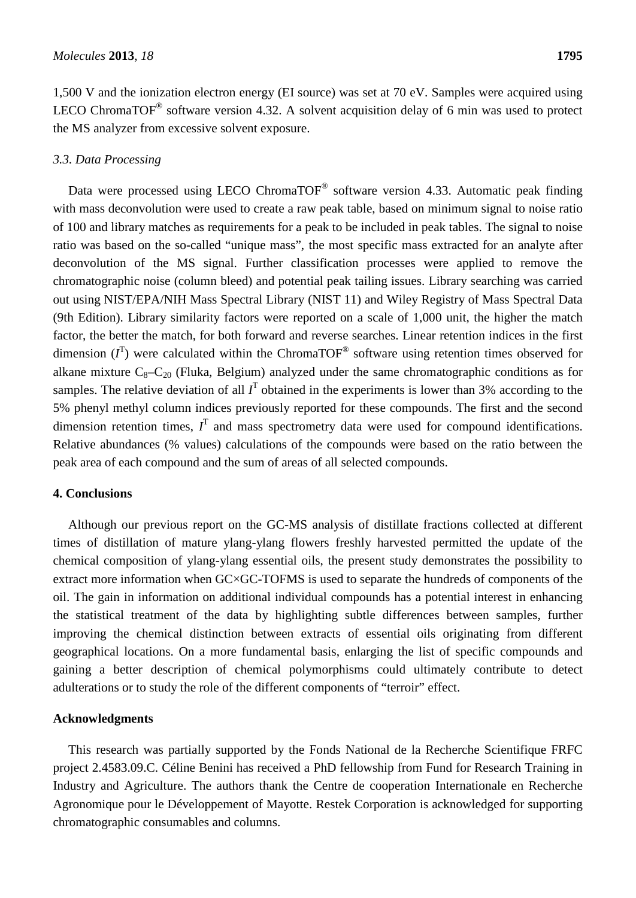1,500 V and the ionization electron energy (EI source) was set at 70 eV. Samples were acquired using LECO ChromaTOF<sup>®</sup> software version 4.32. A solvent acquisition delay of 6 min was used to protect the MS analyzer from excessive solvent exposure.

### *3.3. Data Processing*

Data were processed using LECO ChromaTOF<sup>®</sup> software version 4.33. Automatic peak finding with mass deconvolution were used to create a raw peak table, based on minimum signal to noise ratio of 100 and library matches as requirements for a peak to be included in peak tables. The signal to noise ratio was based on the so-called "unique mass", the most specific mass extracted for an analyte after deconvolution of the MS signal. Further classification processes were applied to remove the chromatographic noise (column bleed) and potential peak tailing issues. Library searching was carried out using NIST/EPA/NIH Mass Spectral Library (NIST 11) and Wiley Registry of Mass Spectral Data (9th Edition). Library similarity factors were reported on a scale of 1,000 unit, the higher the match factor, the better the match, for both forward and reverse searches. Linear retention indices in the first dimension  $(I^T)$  were calculated within the ChromaTOF<sup>®</sup> software using retention times observed for alkane mixture  $C_8 - C_{20}$  (Fluka, Belgium) analyzed under the same chromatographic conditions as for samples. The relative deviation of all  $I<sup>T</sup>$  obtained in the experiments is lower than 3% according to the 5% phenyl methyl column indices previously reported for these compounds. The first and the second dimension retention times,  $I<sup>T</sup>$  and mass spectrometry data were used for compound identifications. Relative abundances (% values) calculations of the compounds were based on the ratio between the peak area of each compound and the sum of areas of all selected compounds.

#### **4. Conclusions**

Although our previous report on the GC-MS analysis of distillate fractions collected at different times of distillation of mature ylang-ylang flowers freshly harvested permitted the update of the chemical composition of ylang-ylang essential oils, the present study demonstrates the possibility to extract more information when GC×GC-TOFMS is used to separate the hundreds of components of the oil. The gain in information on additional individual compounds has a potential interest in enhancing the statistical treatment of the data by highlighting subtle differences between samples, further improving the chemical distinction between extracts of essential oils originating from different geographical locations. On a more fundamental basis, enlarging the list of specific compounds and gaining a better description of chemical polymorphisms could ultimately contribute to detect adulterations or to study the role of the different components of "terroir" effect.

#### **Acknowledgments**

This research was partially supported by the Fonds National de la Recherche Scientifique FRFC project 2.4583.09.C. Céline Benini has received a PhD fellowship from Fund for Research Training in Industry and Agriculture. The authors thank the Centre de cooperation Internationale en Recherche Agronomique pour le Développement of Mayotte. Restek Corporation is acknowledged for supporting chromatographic consumables and columns.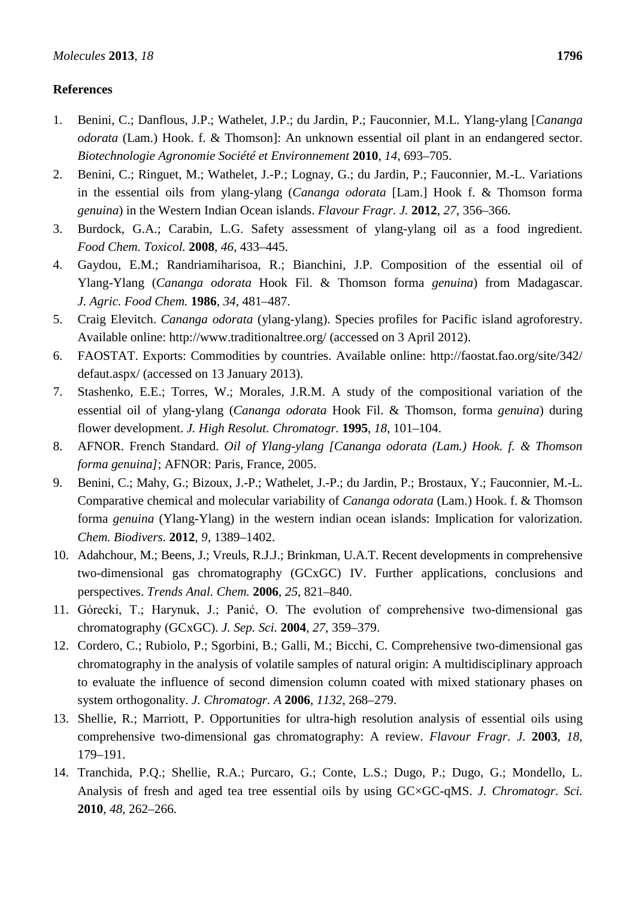## **References**

- 1. Benini, C.; Danflous, J.P.; Wathelet, J.P.; du Jardin, P.; Fauconnier, M.L. Ylang-ylang [*Cananga odorata* (Lam.) Hook. f. & Thomson]: An unknown essential oil plant in an endangered sector. *Biotechnologie Agronomie Société et Environnement* **2010**, *14*, 693–705.
- 2. Benini, C.; Ringuet, M.; Wathelet, J.-P.; Lognay, G.; du Jardin, P.; Fauconnier, M.-L. Variations in the essential oils from ylang-ylang (*Cananga odorata* [Lam.] Hook f. & Thomson forma *genuina*) in the Western Indian Ocean islands. *Flavour Fragr. J.* **2012**, *27*, 356–366.
- 3. Burdock, G.A.; Carabin, L.G. Safety assessment of ylang-ylang oil as a food ingredient. *Food Chem. Toxicol.* **2008**, *46*, 433–445.
- 4. Gaydou, E.M.; Randriamiharisoa, R.; Bianchini, J.P. Composition of the essential oil of Ylang-Ylang (*Cananga odorata* Hook Fil. & Thomson forma *genuina*) from Madagascar. *J. Agric. Food Chem.* **1986**, *34*, 481–487.
- 5. Craig Elevitch. *Cananga odorata* (ylang-ylang). Species profiles for Pacific island agroforestry. Available online: http://www.traditionaltree.org/ (accessed on 3 April 2012).
- 6. FAOSTAT. Exports: Commodities by countries. Available online: http://faostat.fao.org/site/342/ defaut.aspx/ (accessed on 13 January 2013).
- 7. Stashenko, E.E.; Torres, W.; Morales, J.R.M. A study of the compositional variation of the essential oil of ylang-ylang (*Cananga odorata* Hook Fil. & Thomson, forma *genuina*) during flower development. *J. High Resolut. Chromatogr.* **1995**, *18*, 101–104.
- 8. AFNOR. French Standard. *Oil of Ylang-ylang [Cananga odorata (Lam.) Hook. f. & Thomson forma genuina]*; AFNOR: Paris, France, 2005.
- 9. Benini, C.; Mahy, G.; Bizoux, J.-P.; Wathelet, J.-P.; du Jardin, P.; Brostaux, Y.; Fauconnier, M.-L. Comparative chemical and molecular variability of *Cananga odorata* (Lam.) Hook. f. & Thomson forma *genuina* (Ylang-Ylang) in the western indian ocean islands: Implication for valorization. *Chem. Biodivers.* **2012**, *9*, 1389–1402.
- 10. Adahchour, M.; Beens, J.; Vreuls, R.J.J.; Brinkman, U.A.T. Recent developments in comprehensive two-dimensional gas chromatography (GCxGC) IV. Further applications, conclusions and perspectives. *Trends Anal. Chem.* **2006**, *25*, 821–840.
- 11. Górecki, T.; Harynuk, J.; Panić, O. The evolution of comprehensive two-dimensional gas chromatography (GCxGC). *J. Sep. Sci.* **2004**, *27*, 359–379.
- 12. Cordero, C.; Rubiolo, P.; Sgorbini, B.; Galli, M.; Bicchi, C. Comprehensive two-dimensional gas chromatography in the analysis of volatile samples of natural origin: A multidisciplinary approach to evaluate the influence of second dimension column coated with mixed stationary phases on system orthogonality. *J. Chromatogr. A* **2006**, *1132*, 268–279.
- 13. Shellie, R.; Marriott, P. Opportunities for ultra-high resolution analysis of essential oils using comprehensive two-dimensional gas chromatography: A review. *Flavour Fragr. J.* **2003**, *18*, 179–191.
- 14. Tranchida, P.Q.; Shellie, R.A.; Purcaro, G.; Conte, L.S.; Dugo, P.; Dugo, G.; Mondello, L. Analysis of fresh and aged tea tree essential oils by using GC×GC-qMS. *J. Chromatogr. Sci.* **2010**, *48*, 262–266.